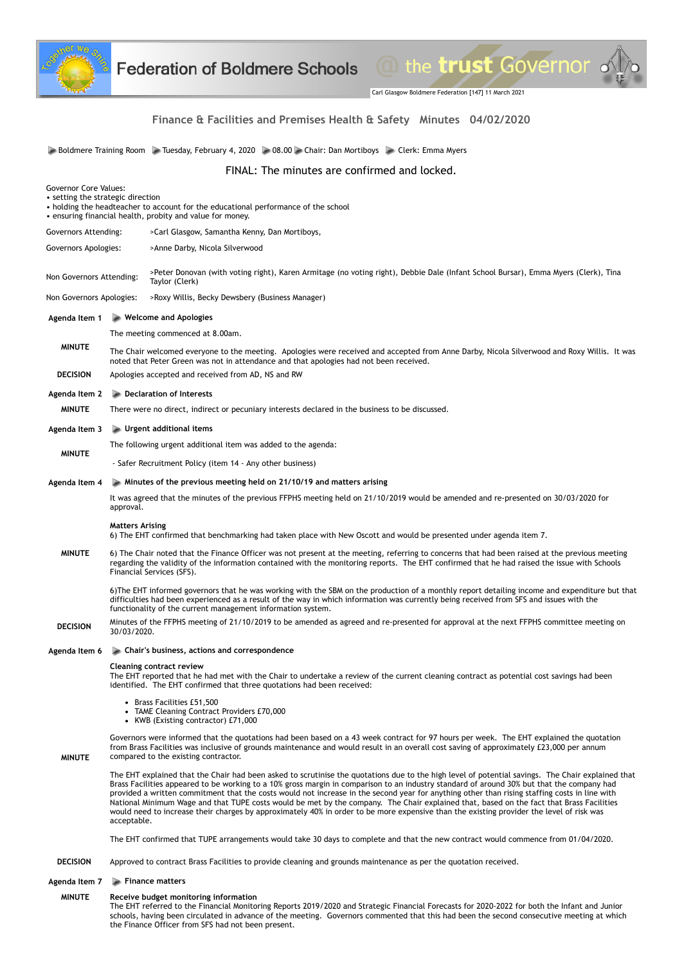

Carl Glasgow Boldmere Federation [147] 11 March 2021

the trust Governor .

# **Finance & Facilities and Premises Health & Safety Minutes 04/02/2020**

Boldmere Training Room Tuesday, February 4, 2020 **08.00 Chair: Dan Mortiboys Clerk: Emma Myers** Clerk: Emma Myers

FINAL: The minutes are confirmed and locked.

| <b>Governor Core Values:</b><br>• setting the strategic direction<br>• holding the headteacher to account for the educational performance of the school<br>• ensuring financial health, probity and value for money. |                                                                                                                                                                                                                                                                                                                                                                                                                                                                                                                                                                                                                                                                                                                                                         |
|----------------------------------------------------------------------------------------------------------------------------------------------------------------------------------------------------------------------|---------------------------------------------------------------------------------------------------------------------------------------------------------------------------------------------------------------------------------------------------------------------------------------------------------------------------------------------------------------------------------------------------------------------------------------------------------------------------------------------------------------------------------------------------------------------------------------------------------------------------------------------------------------------------------------------------------------------------------------------------------|
| Governors Attending:                                                                                                                                                                                                 | >Carl Glasgow, Samantha Kenny, Dan Mortiboys,                                                                                                                                                                                                                                                                                                                                                                                                                                                                                                                                                                                                                                                                                                           |
| Governors Apologies:<br>>Anne Darby, Nicola Silverwood                                                                                                                                                               |                                                                                                                                                                                                                                                                                                                                                                                                                                                                                                                                                                                                                                                                                                                                                         |
| Non Governors Attending:                                                                                                                                                                                             | >Peter Donovan (with voting right), Karen Armitage (no voting right), Debbie Dale (Infant School Bursar), Emma Myers (Clerk), Tina<br>Taylor (Clerk)                                                                                                                                                                                                                                                                                                                                                                                                                                                                                                                                                                                                    |
| Non Governors Apologies:                                                                                                                                                                                             | >Roxy Willis, Becky Dewsbery (Business Manager)                                                                                                                                                                                                                                                                                                                                                                                                                                                                                                                                                                                                                                                                                                         |
| Agenda Item 1                                                                                                                                                                                                        | $\blacktriangleright$ Welcome and Apologies                                                                                                                                                                                                                                                                                                                                                                                                                                                                                                                                                                                                                                                                                                             |
|                                                                                                                                                                                                                      | The meeting commenced at 8.00am.                                                                                                                                                                                                                                                                                                                                                                                                                                                                                                                                                                                                                                                                                                                        |
| <b>MINUTE</b>                                                                                                                                                                                                        | The Chair welcomed everyone to the meeting. Apologies were received and accepted from Anne Darby, Nicola Silverwood and Roxy Willis. It was<br>noted that Peter Green was not in attendance and that apologies had not been received.                                                                                                                                                                                                                                                                                                                                                                                                                                                                                                                   |
| <b>DECISION</b>                                                                                                                                                                                                      | Apologies accepted and received from AD, NS and RW                                                                                                                                                                                                                                                                                                                                                                                                                                                                                                                                                                                                                                                                                                      |
| Agenda Item 2                                                                                                                                                                                                        | Declaration of Interests                                                                                                                                                                                                                                                                                                                                                                                                                                                                                                                                                                                                                                                                                                                                |
| <b>MINUTE</b>                                                                                                                                                                                                        | There were no direct, indirect or pecuniary interests declared in the business to be discussed.                                                                                                                                                                                                                                                                                                                                                                                                                                                                                                                                                                                                                                                         |
| Agenda Item 3                                                                                                                                                                                                        | $\blacktriangleright$ Urgent additional items                                                                                                                                                                                                                                                                                                                                                                                                                                                                                                                                                                                                                                                                                                           |
| <b>MINUTE</b>                                                                                                                                                                                                        | The following urgent additional item was added to the agenda:                                                                                                                                                                                                                                                                                                                                                                                                                                                                                                                                                                                                                                                                                           |
|                                                                                                                                                                                                                      | - Safer Recruitment Policy (item 14 - Any other business)                                                                                                                                                                                                                                                                                                                                                                                                                                                                                                                                                                                                                                                                                               |
| Agenda Item 4                                                                                                                                                                                                        | $\triangleright$ Minutes of the previous meeting held on 21/10/19 and matters arising                                                                                                                                                                                                                                                                                                                                                                                                                                                                                                                                                                                                                                                                   |
| <b>MINUTE</b>                                                                                                                                                                                                        | It was agreed that the minutes of the previous FFPHS meeting held on 21/10/2019 would be amended and re-presented on 30/03/2020 for<br>approval.                                                                                                                                                                                                                                                                                                                                                                                                                                                                                                                                                                                                        |
|                                                                                                                                                                                                                      | <b>Matters Arising</b><br>6) The EHT confirmed that benchmarking had taken place with New Oscott and would be presented under agenda item 7.                                                                                                                                                                                                                                                                                                                                                                                                                                                                                                                                                                                                            |
|                                                                                                                                                                                                                      | 6) The Chair noted that the Finance Officer was not present at the meeting, referring to concerns that had been raised at the previous meeting<br>regarding the validity of the information contained with the monitoring reports. The EHT confirmed that he had raised the issue with Schools<br>Financial Services (SFS).                                                                                                                                                                                                                                                                                                                                                                                                                             |
|                                                                                                                                                                                                                      | 6) The EHT informed governors that he was working with the SBM on the production of a monthly report detailing income and expenditure but that<br>difficulties had been experienced as a result of the way in which information was currently being received from SFS and issues with the<br>functionality of the current management information system.                                                                                                                                                                                                                                                                                                                                                                                                |
| <b>DECISION</b>                                                                                                                                                                                                      | Minutes of the FFPHS meeting of 21/10/2019 to be amended as agreed and re-presented for approval at the next FFPHS committee meeting on<br>30/03/2020.                                                                                                                                                                                                                                                                                                                                                                                                                                                                                                                                                                                                  |
| Agenda Item 6                                                                                                                                                                                                        | • Chair's business, actions and correspondence                                                                                                                                                                                                                                                                                                                                                                                                                                                                                                                                                                                                                                                                                                          |
| <b>MINUTE</b>                                                                                                                                                                                                        | <b>Cleaning contract review</b><br>The EHT reported that he had met with the Chair to undertake a review of the current cleaning contract as potential cost savings had been<br>identified. The EHT confirmed that three quotations had been received:                                                                                                                                                                                                                                                                                                                                                                                                                                                                                                  |
|                                                                                                                                                                                                                      | • Brass Facilities £51,500<br>• TAME Cleaning Contract Providers £70,000<br>• KWB (Existing contractor) £71,000                                                                                                                                                                                                                                                                                                                                                                                                                                                                                                                                                                                                                                         |
|                                                                                                                                                                                                                      | Governors were informed that the quotations had been based on a 43 week contract for 97 hours per week. The EHT explained the quotation<br>from Brass Facilities was inclusive of grounds maintenance and would result in an overall cost saving of approximately £23,000 per annum<br>compared to the existing contractor.                                                                                                                                                                                                                                                                                                                                                                                                                             |
|                                                                                                                                                                                                                      | The EHT explained that the Chair had been asked to scrutinise the quotations due to the high level of potential savings. The Chair explained that<br>Brass Facilities appeared to be working to a 10% gross margin in comparison to an industry standard of around 30% but that the company had<br>provided a written commitment that the costs would not increase in the second year for anything other than rising staffing costs in line with<br>National Minimum Wage and that TUPE costs would be met by the company. The Chair explained that, based on the fact that Brass Facilities<br>would need to increase their charges by approximately 40% in order to be more expensive than the existing provider the level of risk was<br>acceptable. |
|                                                                                                                                                                                                                      | The EHT confirmed that TUPE arrangements would take 30 days to complete and that the new contract would commence from 01/04/2020.                                                                                                                                                                                                                                                                                                                                                                                                                                                                                                                                                                                                                       |
| <b>DECISION</b>                                                                                                                                                                                                      | Approved to contract Brass Facilities to provide cleaning and grounds maintenance as per the quotation received.                                                                                                                                                                                                                                                                                                                                                                                                                                                                                                                                                                                                                                        |
| Agenda Item 7                                                                                                                                                                                                        | Finance matters                                                                                                                                                                                                                                                                                                                                                                                                                                                                                                                                                                                                                                                                                                                                         |
| <b>MINUTE</b>                                                                                                                                                                                                        | Receive budget monitoring information                                                                                                                                                                                                                                                                                                                                                                                                                                                                                                                                                                                                                                                                                                                   |

The EHT referred to the Financial Monitoring Reports 2019/2020 and Strategic Financial Forecasts for 2020-2022 for both the Infant and Junior schools, having been circulated in advance of the meeting. Governors commented that this had been the second consecutive meeting at which the Finance Officer from SFS had not been present.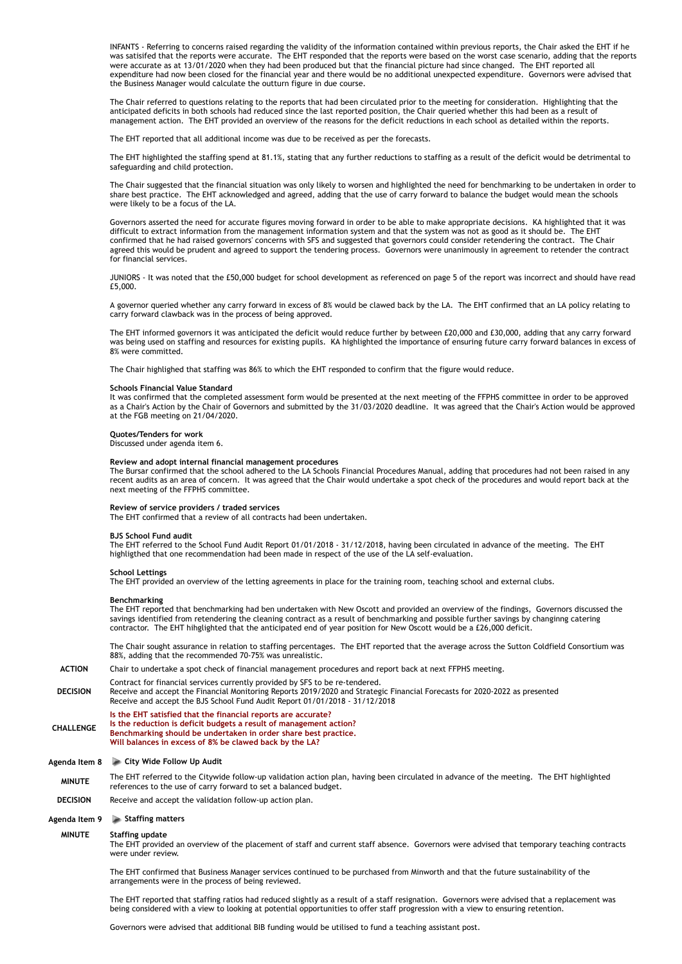INFANTS - Referring to concerns raised regarding the validity of the information contained within previous reports, the Chair asked the EHT if he was satisifed that the reports were accurate. The EHT responded that the reports were based on the worst case scenario, adding that the reports were accurate as at 13/01/2020 when they had been produced but that the financial picture had since changed. The EHT reported all expenditure had now been closed for the financial year and there would be no additional unexpected expenditure. Governors were advised that the Business Manager would calculate the outturn figure in due course.

The Chair referred to questions relating to the reports that had been circulated prior to the meeting for consideration. Highlighting that the anticipated deficits in both schools had reduced since the last reported position, the Chair queried whether this had been as a result of management action. The EHT provided an overview of the reasons for the deficit reductions in each school as detailed within the reports.

The EHT reported that all additional income was due to be received as per the forecasts.

The EHT highlighted the staffing spend at 81.1%, stating that any further reductions to staffing as a result of the deficit would be detrimental to safeguarding and child protection.

The Chair suggested that the financial situation was only likely to worsen and highlighted the need for benchmarking to be undertaken in order to share best practice. The EHT acknowledged and agreed, adding that the use of carry forward to balance the budget would mean the schools were likely to be a focus of the LA.

Governors asserted the need for accurate figures moving forward in order to be able to make appropriate decisions. KA highlighted that it was difficult to extract information from the management information system and that the system was not as good as it should be. The EHT confirmed that he had raised governors' concerns with SFS and suggested that governors could consider retendering the contract. The Chair agreed this would be prudent and agreed to support the tendering process. Governors were unanimously in agreement to retender the contract for financial services.

JUNIORS - It was noted that the £50,000 budget for school development as referenced on page 5 of the report was incorrect and should have read £5,000.

A governor queried whether any carry forward in excess of 8% would be clawed back by the LA. The EHT confirmed that an LA policy relating to carry forward clawback was in the process of being approved.

The EHT informed governors it was anticipated the deficit would reduce further by between £20,000 and £30,000, adding that any carry forward was being used on staffing and resources for existing pupils. KA highlighted the importance of ensuring future carry forward balances in excess of 8% were committed.

The Chair highlighed that staffing was 86% to which the EHT responded to confirm that the figure would reduce.

#### **Schools Financial Value Standard**

It was confirmed that the completed assessment form would be presented at the next meeting of the FFPHS committee in order to be approved as a Chair's Action by the Chair of Governors and submitted by the 31/03/2020 deadline. It was agreed that the Chair's Action would be approved at the FGB meeting on 21/04/2020.

### **Quotes/Tenders for work**

Discussed under agenda item 6.

#### **Review and adopt internal financial management procedures**

The Bursar confirmed that the school adhered to the LA Schools Financial Procedures Manual, adding that procedures had not been raised in any recent audits as an area of concern. It was agreed that the Chair would undertake a spot check of the procedures and would report back at the next meeting of the FFPHS committee.

### **Review of service providers / traded services**

The EHT confirmed that a review of all contracts had been undertaken.

### **BJS School Fund audit**

The EHT referred to the School Fund Audit Report 01/01/2018 - 31/12/2018, having been circulated in advance of the meeting. The EHT highligthed that one recommendation had been made in respect of the use of the LA self-evaluation.

### **School Lettings**

The EHT provided an overview of the letting agreements in place for the training room, teaching school and external clubs.

#### **Benchmarking**

The EHT reported that benchmarking had ben undertaken with New Oscott and provided an overview of the findings, Governors discussed the savings identified from retendering the cleaning contract as a result of benchmarking and possible further savings by changinng catering contractor. The EHT hihglighted that the anticipated end of year position for New Oscott would be a £26,000 deficit.

The Chair sought assurance in relation to staffing percentages. The EHT reported that the average across the Sutton Coldfield Consortium was 88%, adding that the recommended 70-75% was unrealistic.

### **ACTION**  Chair to undertake a spot check of financial management procedures and report back at next FFPHS meeting.

**DECISION**  Contract for financial services currently provided by SFS to be re-tendered. Receive and accept the Financial Monitoring Reports 2019/2020 and Strategic Financial Forecasts for 2020-2022 as presented Receive and accept the BJS School Fund Audit Report 01/01/2018 - 31/12/2018

**CHALLENGE Is the EHT satisfied that the financial reports are accurate? Is the reduction is deficit budgets a result of management action? Benchmarking should be undertaken in order share best practice. Will balances in excess of 8% be clawed back by the LA?**

### **Agenda Item 8 City Wide Follow Up Audit**

- **MINUTE** The EHT referred to the Citywide follow-up validation action plan, having been circulated in advance of the meeting. The EHT highlighted references to the use of carry forward to set a balanced budget.
- **DECISION**  Receive and accept the validation follow-up action plan.

### **Agenda Item 9 Staffing matters**

# **MINUTE Staffing update**

The EHT provided an overview of the placement of staff and current staff absence. Governors were advised that temporary teaching contracts were under review.

The EHT confirmed that Business Manager services continued to be purchased from Minworth and that the future sustainability of the arrangements were in the process of being reviewed.

The EHT reported that staffing ratios had reduced slightly as a result of a staff resignation. Governors were advised that a replacement was being considered with a view to looking at potential opportunities to offer staff progression with a view to ensuring retention.

Governors were advised that additional BIB funding would be utilised to fund a teaching assistant post.